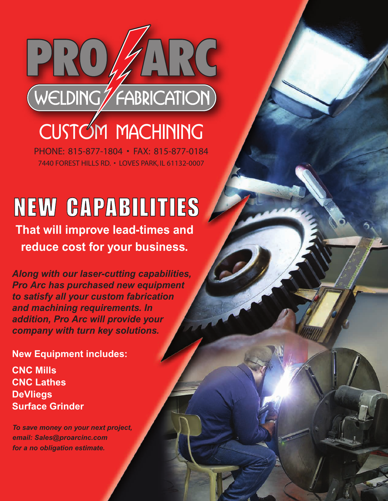

**CUSTOM MACHINING**

PHONE: 815-877-1804 • FAX: 815-877-0184 7440 FOREST HILLS RD. • LOVES PARK, IL 61132-0007

# NEW CAPABILITIES

**That will improve lead-times and reduce cost for your business.**

*Along with our laser-cutting capabilities, Pro Arc has purchased new equipment to satisfy all your custom fabrication and machining requirements. In addition, Pro Arc will provide your company with turn key solutions.*

**New Equipment includes:**

**CNC Mills CNC Lathes DeVliegs Surface Grinder**

*To save money on your next project, email: Sales@proarcinc.com for a no obligation estimate.*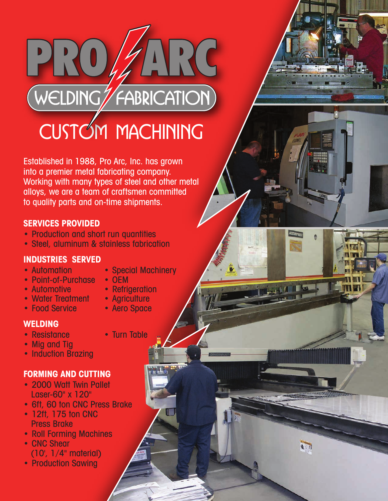### ARC PRO WELDING FABRICATION **CUSTOM MACHINING**

Established in 1988, Pro Arc, Inc. has grown into a premier metal fabricating company. Working with many types of steel and other metal alloys, we are a team of craftsmen committed to quality parts and on-time shipments.

#### **SERVICES PROVIDED**

- Production and short run quantities
- Steel, aluminum & stainless fabrication

#### **INDUSTRIES SERVED**

- 
- Point-of-Purchase<br>• Automotive
- 
- 
- Water Treatment Agriculture<br>• Food Service Aero Space
	-
- Food Service

#### **WELDING**

- Resistance Turn Table
- Mig and Tig
- Induction Brazing

### **FORMING AND CUTTING**

- 2000 Watt Twin Pallet Laser-60" x 120"
- 6ft, 60 ton CNC Press Brake
- 12ft, 175 ton CNC Press Brake
- Roll Forming Machines
- CNC Shear (10', 1/4" material)
- Production Sawing
- Automation Special Machinery<br>• Point-of-Purchase OEM
	-
	- Refrigeration<br>• Agriculture
	-